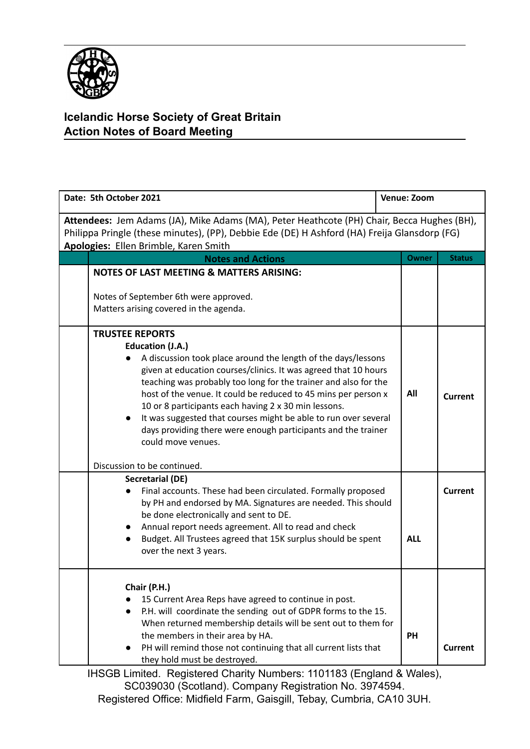

## **Icelandic Horse Society of Great Britain Action Notes of Board Meeting**

| Date: 5th October 2021                                                                                                                                                                                                              |                                                                                                                                                                                                                                                                                                                                                                                                                                                                                                                                       | <b>Venue: Zoom</b> |                |  |
|-------------------------------------------------------------------------------------------------------------------------------------------------------------------------------------------------------------------------------------|---------------------------------------------------------------------------------------------------------------------------------------------------------------------------------------------------------------------------------------------------------------------------------------------------------------------------------------------------------------------------------------------------------------------------------------------------------------------------------------------------------------------------------------|--------------------|----------------|--|
| Attendees: Jem Adams (JA), Mike Adams (MA), Peter Heathcote (PH) Chair, Becca Hughes (BH),<br>Philippa Pringle (these minutes), (PP), Debbie Ede (DE) H Ashford (HA) Freija Glansdorp (FG)<br>Apologies: Ellen Brimble, Karen Smith |                                                                                                                                                                                                                                                                                                                                                                                                                                                                                                                                       |                    |                |  |
|                                                                                                                                                                                                                                     | <b>Notes and Actions</b>                                                                                                                                                                                                                                                                                                                                                                                                                                                                                                              | <b>Owner</b>       | <b>Status</b>  |  |
|                                                                                                                                                                                                                                     | NOTES OF LAST MEETING & MATTERS ARISING:<br>Notes of September 6th were approved.<br>Matters arising covered in the agenda.                                                                                                                                                                                                                                                                                                                                                                                                           |                    |                |  |
|                                                                                                                                                                                                                                     | <b>TRUSTEE REPORTS</b><br>Education (J.A.)<br>A discussion took place around the length of the days/lessons<br>given at education courses/clinics. It was agreed that 10 hours<br>teaching was probably too long for the trainer and also for the<br>host of the venue. It could be reduced to 45 mins per person x<br>10 or 8 participants each having 2 x 30 min lessons.<br>It was suggested that courses might be able to run over several<br>days providing there were enough participants and the trainer<br>could move venues. | All                | Current        |  |
|                                                                                                                                                                                                                                     | Discussion to be continued.                                                                                                                                                                                                                                                                                                                                                                                                                                                                                                           |                    |                |  |
|                                                                                                                                                                                                                                     | <b>Secretarial (DE)</b><br>Final accounts. These had been circulated. Formally proposed<br>by PH and endorsed by MA. Signatures are needed. This should<br>be done electronically and sent to DE.<br>Annual report needs agreement. All to read and check<br>Budget. All Trustees agreed that 15K surplus should be spent<br>$\bullet$<br>over the next 3 years.                                                                                                                                                                      | <b>ALL</b>         | <b>Current</b> |  |
|                                                                                                                                                                                                                                     | Chair (P.H.)<br>15 Current Area Reps have agreed to continue in post.<br>P.H. will coordinate the sending out of GDPR forms to the 15.<br>When returned membership details will be sent out to them for<br>the members in their area by HA.<br>PH will remind those not continuing that all current lists that<br>they hold must be destroyed.                                                                                                                                                                                        | <b>PH</b>          | <b>Current</b> |  |

IHSGB Limited. Registered Charity Numbers: 1101183 (England & Wales), SC039030 (Scotland). Company Registration No. 3974594. Registered Office: Midfield Farm, Gaisgill, Tebay, Cumbria, CA10 3UH.